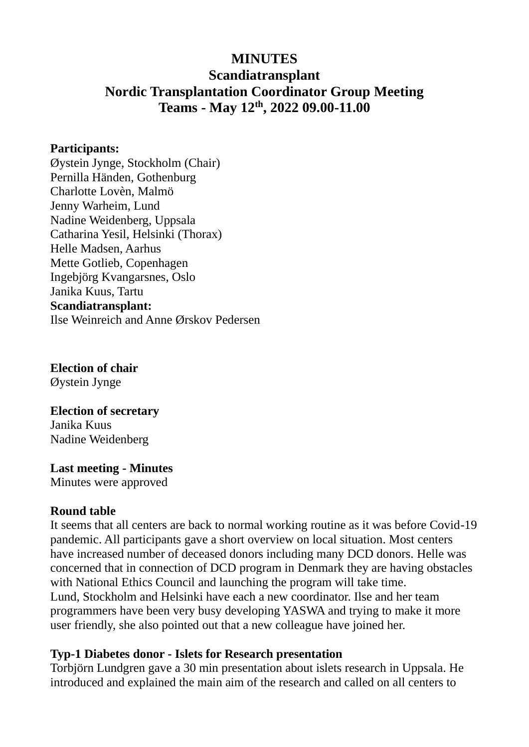## **MINUTES**

# **Scandiatransplant Nordic Transplantation Coordinator Group Meeting Teams - May 12th, 2022 09.00-11.00**

#### **Participants:**

Øystein Jynge, Stockholm (Chair) Pernilla Händen, Gothenburg Charlotte Lovèn, Malmö Jenny Warheim, Lund Nadine Weidenberg, Uppsala Catharina Yesil, Helsinki (Thorax) Helle Madsen, Aarhus Mette Gotlieb, Copenhagen Ingebjörg Kvangarsnes, Oslo Janika Kuus, Tartu **Scandiatransplant:**

Ilse Weinreich and Anne Ørskov Pedersen

**Election of chair** Øystein Jynge

#### **Election of secretary** Janika Kuus

Nadine Weidenberg

**Last meeting - Minutes** Minutes were approved

### **Round table**

It seems that all centers are back to normal working routine as it was before Covid-19 pandemic. All participants gave a short overview on local situation. Most centers have increased number of deceased donors including many DCD donors. Helle was concerned that in connection of DCD program in Denmark they are having obstacles with National Ethics Council and launching the program will take time. Lund, Stockholm and Helsinki have each a new coordinator. Ilse and her team programmers have been very busy developing YASWA and trying to make it more user friendly, she also pointed out that a new colleague have joined her.

## **Typ-1 Diabetes donor - Islets for Research presentation**

Torbjörn Lundgren gave a 30 min presentation about islets research in Uppsala. He introduced and explained the main aim of the research and called on all centers to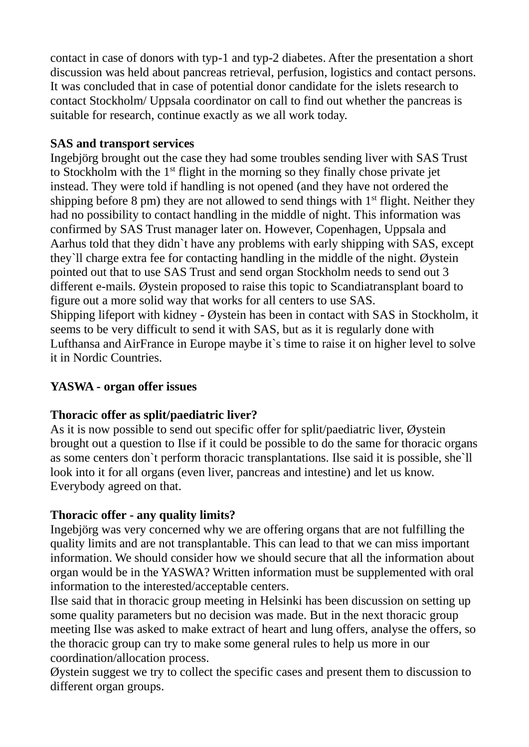contact in case of donors with typ-1 and typ-2 diabetes. After the presentation a short discussion was held about pancreas retrieval, perfusion, logistics and contact persons. It was concluded that in case of potential donor candidate for the islets research to contact Stockholm/ Uppsala coordinator on call to find out whether the pancreas is suitable for research, continue exactly as we all work today.

## **SAS and transport services**

Ingebjörg brought out the case they had some troubles sending liver with SAS Trust to Stockholm with the 1st flight in the morning so they finally chose private jet instead. They were told if handling is not opened (and they have not ordered the shipping before 8 pm) they are not allowed to send things with  $1<sup>st</sup>$  flight. Neither they had no possibility to contact handling in the middle of night. This information was confirmed by SAS Trust manager later on. However, Copenhagen, Uppsala and Aarhus told that they didn`t have any problems with early shipping with SAS, except they`ll charge extra fee for contacting handling in the middle of the night. Øystein pointed out that to use SAS Trust and send organ Stockholm needs to send out 3 different e-mails. Øystein proposed to raise this topic to Scandiatransplant board to figure out a more solid way that works for all centers to use SAS. Shipping lifeport with kidney - Øystein has been in contact with SAS in Stockholm, it seems to be very difficult to send it with SAS, but as it is regularly done with Lufthansa and AirFrance in Europe maybe it`s time to raise it on higher level to solve it in Nordic Countries.

# **YASWA - organ offer issues**

## **Thoracic offer as split/paediatric liver?**

As it is now possible to send out specific offer for split/paediatric liver, Øystein brought out a question to Ilse if it could be possible to do the same for thoracic organs as some centers don`t perform thoracic transplantations. Ilse said it is possible, she`ll look into it for all organs (even liver, pancreas and intestine) and let us know. Everybody agreed on that.

## **Thoracic offer - any quality limits?**

Ingebjörg was very concerned why we are offering organs that are not fulfilling the quality limits and are not transplantable. This can lead to that we can miss important information. We should consider how we should secure that all the information about organ would be in the YASWA? Written information must be supplemented with oral information to the interested/acceptable centers.

Ilse said that in thoracic group meeting in Helsinki has been discussion on setting up some quality parameters but no decision was made. But in the next thoracic group meeting Ilse was asked to make extract of heart and lung offers, analyse the offers, so the thoracic group can try to make some general rules to help us more in our coordination/allocation process.

Øystein suggest we try to collect the specific cases and present them to discussion to different organ groups.